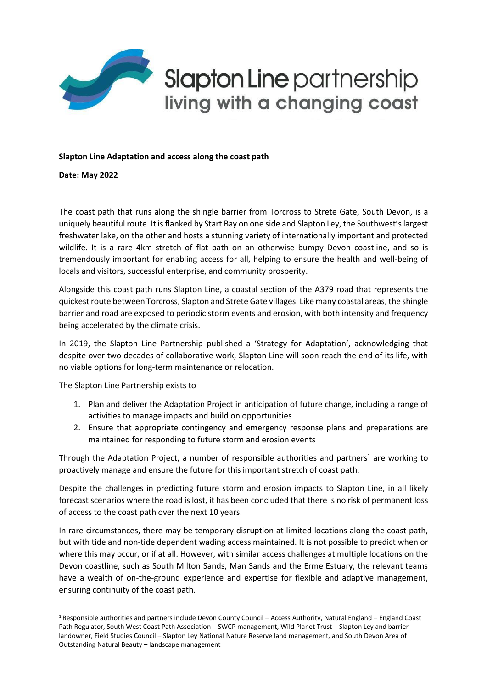

## **Slapton Line partnership** living with a changing coast

## **Slapton Line Adaptation and access along the coast path**

**Date: May 2022**

The coast path that runs along the shingle barrier from Torcross to Strete Gate, South Devon, is a uniquely beautiful route. It is flanked by Start Bay on one side and Slapton Ley, the Southwest's largest freshwater lake, on the other and hosts a stunning variety of internationally important and protected wildlife. It is a rare 4km stretch of flat path on an otherwise bumpy Devon coastline, and so is tremendously important for enabling access for all, helping to ensure the health and well-being of locals and visitors, successful enterprise, and community prosperity.

Alongside this coast path runs Slapton Line, a coastal section of the A379 road that represents the quickest route between Torcross, Slapton and Strete Gate villages. Like many coastal areas, the shingle barrier and road are exposed to periodic storm events and erosion, with both intensity and frequency being accelerated by the climate crisis.

In 2019, the Slapton Line Partnership published a 'Strategy for Adaptation', acknowledging that despite over two decades of collaborative work, Slapton Line will soon reach the end of its life, with no viable options for long-term maintenance or relocation.

The Slapton Line Partnership exists to

- 1. Plan and deliver the Adaptation Project in anticipation of future change, including a range of activities to manage impacts and build on opportunities
- 2. Ensure that appropriate contingency and emergency response plans and preparations are maintained for responding to future storm and erosion events

Through the Adaptation Project, a number of responsible authorities and partners<sup>1</sup> are working to proactively manage and ensure the future for this important stretch of coast path.

Despite the challenges in predicting future storm and erosion impacts to Slapton Line, in all likely forecast scenarios where the road is lost, it has been concluded that there is no risk of permanent loss of access to the coast path over the next 10 years.

In rare circumstances, there may be temporary disruption at limited locations along the coast path, but with tide and non-tide dependent wading access maintained. It is not possible to predict when or where this may occur, or if at all. However, with similar access challenges at multiple locations on the Devon coastline, such as South Milton Sands, Man Sands and the Erme Estuary, the relevant teams have a wealth of on-the-ground experience and expertise for flexible and adaptive management, ensuring continuity of the coast path.

<sup>1</sup> Responsible authorities and partners include Devon County Council – Access Authority, Natural England – England Coast Path Regulator, South West Coast Path Association – SWCP management, Wild Planet Trust – Slapton Ley and barrier landowner, Field Studies Council – Slapton Ley National Nature Reserve land management, and South Devon Area of Outstanding Natural Beauty – landscape management